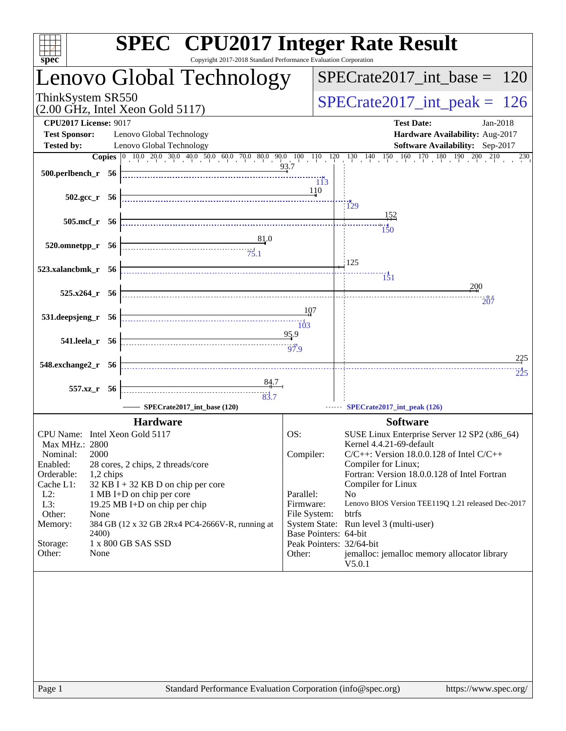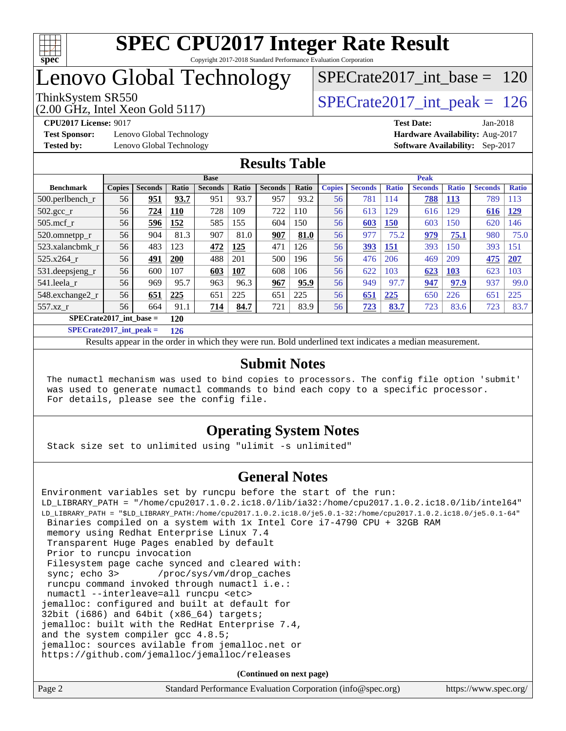

## Lenovo Global Technology

[SPECrate2017\\_int\\_base =](http://www.spec.org/auto/cpu2017/Docs/result-fields.html#SPECrate2017intbase) 120

(2.00 GHz, Intel Xeon Gold 5117)

**[CPU2017 License:](http://www.spec.org/auto/cpu2017/Docs/result-fields.html#CPU2017License)** 9017 **[Test Date:](http://www.spec.org/auto/cpu2017/Docs/result-fields.html#TestDate)** Jan-2018

**[Test Sponsor:](http://www.spec.org/auto/cpu2017/Docs/result-fields.html#TestSponsor)** Lenovo Global Technology **[Hardware Availability:](http://www.spec.org/auto/cpu2017/Docs/result-fields.html#HardwareAvailability)** Aug-2017 **[Tested by:](http://www.spec.org/auto/cpu2017/Docs/result-fields.html#Testedby)** Lenovo Global Technology **[Software Availability:](http://www.spec.org/auto/cpu2017/Docs/result-fields.html#SoftwareAvailability)** Sep-2017

ThinkSystem SR550<br>  $\angle Q$  00 GHz, Intel Year Gold 5117

#### **[Results Table](http://www.spec.org/auto/cpu2017/Docs/result-fields.html#ResultsTable)**

|                           | <b>Base</b>   |                |       |                |              |                | <b>Peak</b> |               |                |              |                |              |                |              |
|---------------------------|---------------|----------------|-------|----------------|--------------|----------------|-------------|---------------|----------------|--------------|----------------|--------------|----------------|--------------|
| <b>Benchmark</b>          | <b>Copies</b> | <b>Seconds</b> | Ratio | <b>Seconds</b> | <b>Ratio</b> | <b>Seconds</b> | Ratio       | <b>Copies</b> | <b>Seconds</b> | <b>Ratio</b> | <b>Seconds</b> | <b>Ratio</b> | <b>Seconds</b> | <b>Ratio</b> |
| $500$ .perlbench r        | 56            | 951            | 93.7  | 951            | 93.7         | 957            | 93.2        | 56            | 781            | 114          | 788            | <b>113</b>   | 789            | 113          |
| $502.\text{sec}$          | 56            | 724            | 110   | 728            | 109          | 722            | 110         | 56            | 613            | 129          | 616            | 129          | 616            | 129          |
| $505$ .mcf r              | 56            | 596            | 152   | 585            | 155          | 604            | 150         | 56            | 603            | <b>150</b>   | 603            | 150          | 620            | 146          |
| 520.omnetpp_r             | 56            | 904            | 81.3  | 907            | 81.0         | 907            | 81.0        | 56            | 977            | 75.2         | 979            | 75.1         | 980            | 75.0         |
| 523.xalancbmk r           | 56            | 483            | 123   | 472            | 125          | 471            | 126         | 56            | 393            | <b>151</b>   | 393            | 150          | 393            | 151          |
| 525.x264 r                | 56            | 491            | 200   | 488            | 201          | 500            | 196         | 56            | 476            | 206          | 469            | 209          | 475            | 207          |
| 531.deepsjeng_r           | 56            | 600            | 107   | 603            | 107          | 608            | 106         | 56            | 622            | 103          | 623            | 103          | 623            | 103          |
| 541.leela r               | 56            | 969            | 95.7  | 963            | 96.3         | 967            | 95.9        | 56            | 949            | 97.7         | 947            | 97.9         | 937            | 99.0         |
| 548.exchange2 r           | 56            | 651            | 225   | 651            | 225          | 651            | 225         | 56            | 651            | 225          | 650            | 226          | 651            | 225          |
| $557.xz$ r                | 56            | 664            | 91.1  | 714            | 84.7         | 721            | 83.9        | 56            | 723            | 83.7         | 723            | 83.6         | 723            | 83.7         |
| $SPECrate2017$ int base = | 120           |                |       |                |              |                |             |               |                |              |                |              |                |              |

**[SPECrate2017\\_int\\_peak =](http://www.spec.org/auto/cpu2017/Docs/result-fields.html#SPECrate2017intpeak) 126**

Results appear in the [order in which they were run.](http://www.spec.org/auto/cpu2017/Docs/result-fields.html#RunOrder) Bold underlined text [indicates a median measurement.](http://www.spec.org/auto/cpu2017/Docs/result-fields.html#Median)

#### **[Submit Notes](http://www.spec.org/auto/cpu2017/Docs/result-fields.html#SubmitNotes)**

 The numactl mechanism was used to bind copies to processors. The config file option 'submit' was used to generate numactl commands to bind each copy to a specific processor. For details, please see the config file.

#### **[Operating System Notes](http://www.spec.org/auto/cpu2017/Docs/result-fields.html#OperatingSystemNotes)**

Stack size set to unlimited using "ulimit -s unlimited"

#### **[General Notes](http://www.spec.org/auto/cpu2017/Docs/result-fields.html#GeneralNotes)**

Environment variables set by runcpu before the start of the run: LD\_LIBRARY\_PATH = "/home/cpu2017.1.0.2.ic18.0/lib/ia32:/home/cpu2017.1.0.2.ic18.0/lib/intel64" LD\_LIBRARY\_PATH = "\$LD\_LIBRARY\_PATH:/home/cpu2017.1.0.2.ic18.0/je5.0.1-32:/home/cpu2017.1.0.2.ic18.0/je5.0.1-64" Binaries compiled on a system with 1x Intel Core i7-4790 CPU + 32GB RAM memory using Redhat Enterprise Linux 7.4 Transparent Huge Pages enabled by default Prior to runcpu invocation Filesystem page cache synced and cleared with: sync; echo 3> /proc/sys/vm/drop\_caches runcpu command invoked through numactl i.e.: numactl --interleave=all runcpu <etc> jemalloc: configured and built at default for 32bit (i686) and 64bit (x86\_64) targets; jemalloc: built with the RedHat Enterprise 7.4, and the system compiler gcc 4.8.5; jemalloc: sources avilable from jemalloc.net or <https://github.com/jemalloc/jemalloc/releases>

**(Continued on next page)**

| Page 2 | Standard Performance Evaluation Corporation (info@spec.org) | https://www.spec.org/ |
|--------|-------------------------------------------------------------|-----------------------|
|--------|-------------------------------------------------------------|-----------------------|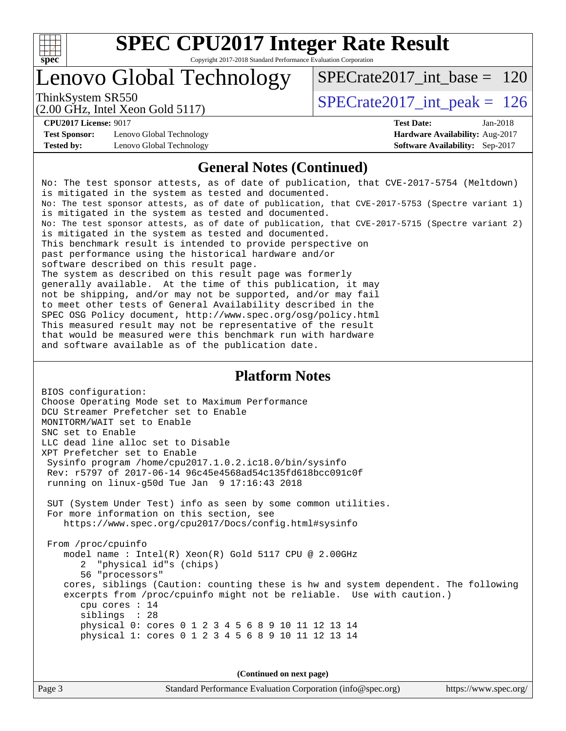

## Lenovo Global Technology

ThinkSystem SR550  $SPECrate2017\_int\_peak = 126$ [SPECrate2017\\_int\\_base =](http://www.spec.org/auto/cpu2017/Docs/result-fields.html#SPECrate2017intbase) 120

(2.00 GHz, Intel Xeon Gold 5117)

**[Test Sponsor:](http://www.spec.org/auto/cpu2017/Docs/result-fields.html#TestSponsor)** Lenovo Global Technology **[Hardware Availability:](http://www.spec.org/auto/cpu2017/Docs/result-fields.html#HardwareAvailability)** Aug-2017 **[Tested by:](http://www.spec.org/auto/cpu2017/Docs/result-fields.html#Testedby)** Lenovo Global Technology **[Software Availability:](http://www.spec.org/auto/cpu2017/Docs/result-fields.html#SoftwareAvailability)** Sep-2017

**[CPU2017 License:](http://www.spec.org/auto/cpu2017/Docs/result-fields.html#CPU2017License)** 9017 **[Test Date:](http://www.spec.org/auto/cpu2017/Docs/result-fields.html#TestDate)** Jan-2018

#### **[General Notes \(Continued\)](http://www.spec.org/auto/cpu2017/Docs/result-fields.html#GeneralNotes)**

No: The test sponsor attests, as of date of publication, that CVE-2017-5754 (Meltdown) is mitigated in the system as tested and documented. No: The test sponsor attests, as of date of publication, that CVE-2017-5753 (Spectre variant 1) is mitigated in the system as tested and documented. No: The test sponsor attests, as of date of publication, that CVE-2017-5715 (Spectre variant 2) is mitigated in the system as tested and documented. This benchmark result is intended to provide perspective on past performance using the historical hardware and/or software described on this result page. The system as described on this result page was formerly generally available. At the time of this publication, it may not be shipping, and/or may not be supported, and/or may fail to meet other tests of General Availability described in the SPEC OSG Policy document, <http://www.spec.org/osg/policy.html> This measured result may not be representative of the result that would be measured were this benchmark run with hardware and software available as of the publication date.

#### **[Platform Notes](http://www.spec.org/auto/cpu2017/Docs/result-fields.html#PlatformNotes)**

BIOS configuration: Choose Operating Mode set to Maximum Performance DCU Streamer Prefetcher set to Enable MONITORM/WAIT set to Enable SNC set to Enable LLC dead line alloc set to Disable XPT Prefetcher set to Enable Sysinfo program /home/cpu2017.1.0.2.ic18.0/bin/sysinfo Rev: r5797 of 2017-06-14 96c45e4568ad54c135fd618bcc091c0f running on linux-g50d Tue Jan 9 17:16:43 2018 SUT (System Under Test) info as seen by some common utilities. For more information on this section, see <https://www.spec.org/cpu2017/Docs/config.html#sysinfo> From /proc/cpuinfo model name : Intel(R) Xeon(R) Gold 5117 CPU @ 2.00GHz 2 "physical id"s (chips) 56 "processors" cores, siblings (Caution: counting these is hw and system dependent. The following excerpts from /proc/cpuinfo might not be reliable. Use with caution.) cpu cores : 14 siblings : 28 physical 0: cores 0 1 2 3 4 5 6 8 9 10 11 12 13 14 physical 1: cores 0 1 2 3 4 5 6 8 9 10 11 12 13 14

**(Continued on next page)**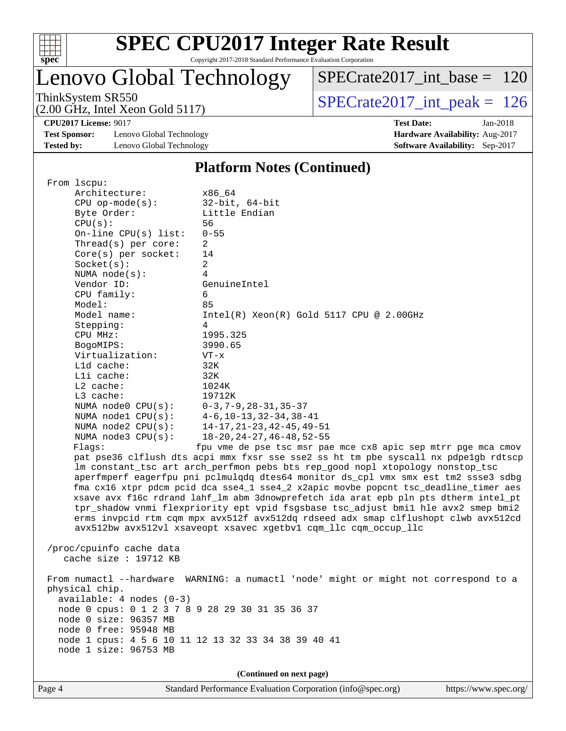

# **[SPEC CPU2017 Integer Rate Result](http://www.spec.org/auto/cpu2017/Docs/result-fields.html#SPECCPU2017IntegerRateResult)**

Copyright 2017-2018 Standard Performance Evaluation Corporation

## Lenovo Global Technology

 $SPECrate2017\_int\_base = 120$ 

(2.00 GHz, Intel Xeon Gold 5117)

ThinkSystem SR550<br>  $\angle Q$  00 GHz, Intel Year Gold 5117

**[Test Sponsor:](http://www.spec.org/auto/cpu2017/Docs/result-fields.html#TestSponsor)** Lenovo Global Technology **[Hardware Availability:](http://www.spec.org/auto/cpu2017/Docs/result-fields.html#HardwareAvailability)** Aug-2017 **[Tested by:](http://www.spec.org/auto/cpu2017/Docs/result-fields.html#Testedby)** Lenovo Global Technology **[Software Availability:](http://www.spec.org/auto/cpu2017/Docs/result-fields.html#SoftwareAvailability)** Sep-2017

**[CPU2017 License:](http://www.spec.org/auto/cpu2017/Docs/result-fields.html#CPU2017License)** 9017 **[Test Date:](http://www.spec.org/auto/cpu2017/Docs/result-fields.html#TestDate)** Jan-2018

#### **[Platform Notes \(Continued\)](http://www.spec.org/auto/cpu2017/Docs/result-fields.html#PlatformNotes)**

 From lscpu: Architecture: x86\_64 CPU op-mode(s): 32-bit, 64-bit Byte Order: Little Endian CPU(s): 56 On-line CPU(s) list: 0-55 Thread(s) per core: 2 Core(s) per socket: 14 Socket(s): 2 NUMA node(s): 4 Vendor ID: GenuineIntel CPU family: 6 Model: 85 Model name: Intel(R) Xeon(R) Gold 5117 CPU @ 2.00GHz Stepping: 4 CPU MHz: 1995.325 BogoMIPS: 3990.65 Virtualization: VT-x L1d cache: 32K L1i cache: 32K L2 cache: 1024K L3 cache: 19712K NUMA node0 CPU(s): 0-3,7-9,28-31,35-37 NUMA node1 CPU(s): 4-6,10-13,32-34,38-41 NUMA node2 CPU(s): 14-17,21-23,42-45,49-51 NUMA node3 CPU(s): 18-20,24-27,46-48,52-55 Flags: fpu vme de pse tsc msr pae mce cx8 apic sep mtrr pge mca cmov pat pse36 clflush dts acpi mmx fxsr sse sse2 ss ht tm pbe syscall nx pdpe1gb rdtscp lm constant\_tsc art arch\_perfmon pebs bts rep\_good nopl xtopology nonstop\_tsc aperfmperf eagerfpu pni pclmulqdq dtes64 monitor ds\_cpl vmx smx est tm2 ssse3 sdbg fma cx16 xtpr pdcm pcid dca sse4\_1 sse4\_2 x2apic movbe popcnt tsc\_deadline\_timer aes xsave avx f16c rdrand lahf\_lm abm 3dnowprefetch ida arat epb pln pts dtherm intel\_pt tpr\_shadow vnmi flexpriority ept vpid fsgsbase tsc\_adjust bmi1 hle avx2 smep bmi2 erms invpcid rtm cqm mpx avx512f avx512dq rdseed adx smap clflushopt clwb avx512cd avx512bw avx512vl xsaveopt xsavec xgetbv1 cqm\_llc cqm\_occup\_llc /proc/cpuinfo cache data cache size : 19712 KB From numactl --hardware WARNING: a numactl 'node' might or might not correspond to a physical chip. available: 4 nodes (0-3) node 0 cpus: 0 1 2 3 7 8 9 28 29 30 31 35 36 37 node 0 size: 96357 MB node 0 free: 95948 MB node 1 cpus: 4 5 6 10 11 12 13 32 33 34 38 39 40 41 node 1 size: 96753 MB **(Continued on next page)**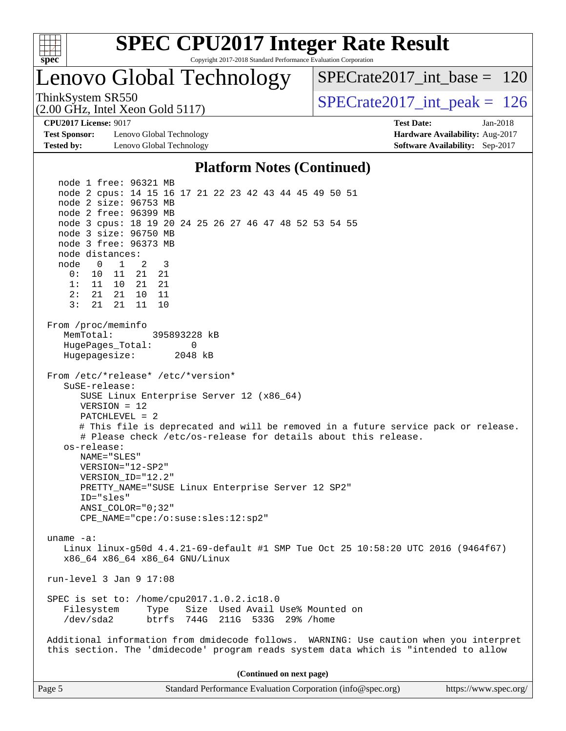

## **[SPEC CPU2017 Integer Rate Result](http://www.spec.org/auto/cpu2017/Docs/result-fields.html#SPECCPU2017IntegerRateResult)**

Copyright 2017-2018 Standard Performance Evaluation Corporation

## Lenovo Global Technology

 $SPECrate2017\_int\_base = 120$ 

(2.00 GHz, Intel Xeon Gold 5117)

ThinkSystem SR550<br>  $\angle Q$  00 GHz, Intel Year Gold 5117

**[Test Sponsor:](http://www.spec.org/auto/cpu2017/Docs/result-fields.html#TestSponsor)** Lenovo Global Technology **[Hardware Availability:](http://www.spec.org/auto/cpu2017/Docs/result-fields.html#HardwareAvailability)** Aug-2017 **[Tested by:](http://www.spec.org/auto/cpu2017/Docs/result-fields.html#Testedby)** Lenovo Global Technology **[Software Availability:](http://www.spec.org/auto/cpu2017/Docs/result-fields.html#SoftwareAvailability)** Sep-2017

**[CPU2017 License:](http://www.spec.org/auto/cpu2017/Docs/result-fields.html#CPU2017License)** 9017 **[Test Date:](http://www.spec.org/auto/cpu2017/Docs/result-fields.html#TestDate)** Jan-2018

#### **[Platform Notes \(Continued\)](http://www.spec.org/auto/cpu2017/Docs/result-fields.html#PlatformNotes)**

 node 1 free: 96321 MB node 2 cpus: 14 15 16 17 21 22 23 42 43 44 45 49 50 51 node 2 size: 96753 MB node 2 free: 96399 MB node 3 cpus: 18 19 20 24 25 26 27 46 47 48 52 53 54 55 node 3 size: 96750 MB node 3 free: 96373 MB node distances: node 0 1 2 3 0: 10 11 21 21 1: 11 10 21 21 2: 21 21 10 11 3: 21 21 11 10 From /proc/meminfo MemTotal: 395893228 kB HugePages\_Total: 0 Hugepagesize: 2048 kB From /etc/\*release\* /etc/\*version\* SuSE-release: SUSE Linux Enterprise Server 12 (x86\_64) VERSION = 12 PATCHLEVEL = 2 # This file is deprecated and will be removed in a future service pack or release. # Please check /etc/os-release for details about this release. os-release: NAME="SLES" VERSION="12-SP2" VERSION\_ID="12.2" PRETTY\_NAME="SUSE Linux Enterprise Server 12 SP2" ID="sles" ANSI\_COLOR="0;32" CPE\_NAME="cpe:/o:suse:sles:12:sp2" uname -a: Linux linux-g50d 4.4.21-69-default #1 SMP Tue Oct 25 10:58:20 UTC 2016 (9464f67) x86\_64 x86\_64 x86\_64 GNU/Linux run-level 3 Jan 9 17:08 SPEC is set to: /home/cpu2017.1.0.2.ic18.0 Filesystem Type Size Used Avail Use% Mounted on /dev/sda2 btrfs 744G 211G 533G 29% /home Additional information from dmidecode follows. WARNING: Use caution when you interpret this section. The 'dmidecode' program reads system data which is "intended to allow **(Continued on next page)**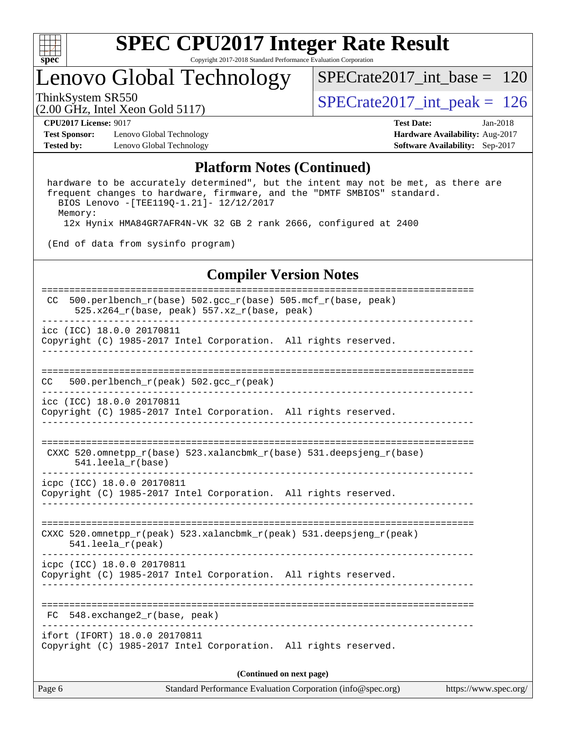

## Lenovo Global Technology

[SPECrate2017\\_int\\_base =](http://www.spec.org/auto/cpu2017/Docs/result-fields.html#SPECrate2017intbase) 120

(2.00 GHz, Intel Xeon Gold 5117)

ThinkSystem SR550<br>(2.00 GHz, Intel Xeon Gold 5117) [SPECrate2017\\_int\\_peak =](http://www.spec.org/auto/cpu2017/Docs/result-fields.html#SPECrate2017intpeak) 126

**[Test Sponsor:](http://www.spec.org/auto/cpu2017/Docs/result-fields.html#TestSponsor)** Lenovo Global Technology **[Hardware Availability:](http://www.spec.org/auto/cpu2017/Docs/result-fields.html#HardwareAvailability)** Aug-2017 **[Tested by:](http://www.spec.org/auto/cpu2017/Docs/result-fields.html#Testedby)** Lenovo Global Technology **[Software Availability:](http://www.spec.org/auto/cpu2017/Docs/result-fields.html#SoftwareAvailability)** Sep-2017

**[CPU2017 License:](http://www.spec.org/auto/cpu2017/Docs/result-fields.html#CPU2017License)** 9017 **[Test Date:](http://www.spec.org/auto/cpu2017/Docs/result-fields.html#TestDate)** Jan-2018

#### **[Platform Notes \(Continued\)](http://www.spec.org/auto/cpu2017/Docs/result-fields.html#PlatformNotes)**

 hardware to be accurately determined", but the intent may not be met, as there are frequent changes to hardware, firmware, and the "DMTF SMBIOS" standard. BIOS Lenovo -[TEE119Q-1.21]- 12/12/2017 Memory: 12x Hynix HMA84GR7AFR4N-VK 32 GB 2 rank 2666, configured at 2400

(End of data from sysinfo program)

#### **[Compiler Version Notes](http://www.spec.org/auto/cpu2017/Docs/result-fields.html#CompilerVersionNotes)**

| 500.perlbench_r(base) 502.gcc_r(base) 505.mcf_r(base, peak)<br>CC.<br>$525.x264_r(base, peak) 557.xz_r(base, peak)$ |  |  |  |  |
|---------------------------------------------------------------------------------------------------------------------|--|--|--|--|
| icc (ICC) 18.0.0 20170811<br>Copyright (C) 1985-2017 Intel Corporation. All rights reserved.                        |  |  |  |  |
| 500.perlbench_r(peak) 502.gcc_r(peak)<br>CC.                                                                        |  |  |  |  |
| icc (ICC) 18.0.0 20170811<br>Copyright (C) 1985-2017 Intel Corporation. All rights reserved.                        |  |  |  |  |
| CXXC 520.omnetpp_r(base) 523.xalancbmk_r(base) 531.deepsjeng_r(base)<br>$541.$ leela $r(base)$                      |  |  |  |  |
| icpc (ICC) 18.0.0 20170811<br>Copyright (C) 1985-2017 Intel Corporation. All rights reserved.                       |  |  |  |  |
| CXXC 520.omnetpp_r(peak) 523.xalancbmk_r(peak) 531.deepsjeng_r(peak)<br>$541.$ leela r(peak)                        |  |  |  |  |
| icpc (ICC) 18.0.0 20170811<br>Copyright (C) 1985-2017 Intel Corporation. All rights reserved.                       |  |  |  |  |
| FC 548.exchange2_r(base, peak)                                                                                      |  |  |  |  |
| ifort (IFORT) 18.0.0 20170811<br>Copyright (C) 1985-2017 Intel Corporation. All rights reserved.                    |  |  |  |  |
| (Continued on next page)                                                                                            |  |  |  |  |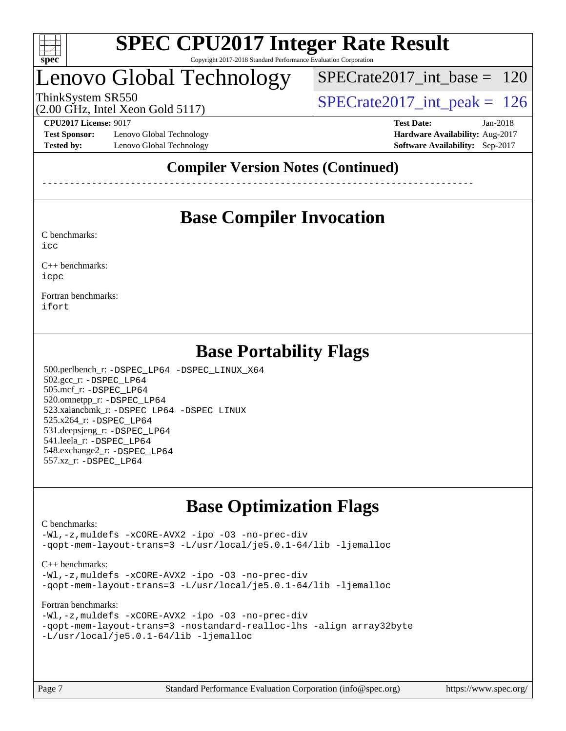

## Lenovo Global Technology

[SPECrate2017\\_int\\_base =](http://www.spec.org/auto/cpu2017/Docs/result-fields.html#SPECrate2017intbase) 120

(2.00 GHz, Intel Xeon Gold 5117)

ThinkSystem SR550<br>  $\angle Q$  00 GHz, Intel Year Gold 5117

**[Test Sponsor:](http://www.spec.org/auto/cpu2017/Docs/result-fields.html#TestSponsor)** Lenovo Global Technology **[Hardware Availability:](http://www.spec.org/auto/cpu2017/Docs/result-fields.html#HardwareAvailability)** Aug-2017 **[Tested by:](http://www.spec.org/auto/cpu2017/Docs/result-fields.html#Testedby)** Lenovo Global Technology **[Software Availability:](http://www.spec.org/auto/cpu2017/Docs/result-fields.html#SoftwareAvailability)** Sep-2017

**[CPU2017 License:](http://www.spec.org/auto/cpu2017/Docs/result-fields.html#CPU2017License)** 9017 **[Test Date:](http://www.spec.org/auto/cpu2017/Docs/result-fields.html#TestDate)** Jan-2018

### **[Compiler Version Notes \(Continued\)](http://www.spec.org/auto/cpu2017/Docs/result-fields.html#CompilerVersionNotes)**

------------------------------------------------------------------------------

## **[Base Compiler Invocation](http://www.spec.org/auto/cpu2017/Docs/result-fields.html#BaseCompilerInvocation)**

[C benchmarks](http://www.spec.org/auto/cpu2017/Docs/result-fields.html#Cbenchmarks): [icc](http://www.spec.org/cpu2017/results/res2018q1/cpu2017-20180122-03077.flags.html#user_CCbase_intel_icc_18.0_66fc1ee009f7361af1fbd72ca7dcefbb700085f36577c54f309893dd4ec40d12360134090235512931783d35fd58c0460139e722d5067c5574d8eaf2b3e37e92)

[C++ benchmarks:](http://www.spec.org/auto/cpu2017/Docs/result-fields.html#CXXbenchmarks)

[icpc](http://www.spec.org/cpu2017/results/res2018q1/cpu2017-20180122-03077.flags.html#user_CXXbase_intel_icpc_18.0_c510b6838c7f56d33e37e94d029a35b4a7bccf4766a728ee175e80a419847e808290a9b78be685c44ab727ea267ec2f070ec5dc83b407c0218cded6866a35d07)

[Fortran benchmarks](http://www.spec.org/auto/cpu2017/Docs/result-fields.html#Fortranbenchmarks): [ifort](http://www.spec.org/cpu2017/results/res2018q1/cpu2017-20180122-03077.flags.html#user_FCbase_intel_ifort_18.0_8111460550e3ca792625aed983ce982f94888b8b503583aa7ba2b8303487b4d8a21a13e7191a45c5fd58ff318f48f9492884d4413fa793fd88dd292cad7027ca)

### **[Base Portability Flags](http://www.spec.org/auto/cpu2017/Docs/result-fields.html#BasePortabilityFlags)**

 500.perlbench\_r: [-DSPEC\\_LP64](http://www.spec.org/cpu2017/results/res2018q1/cpu2017-20180122-03077.flags.html#b500.perlbench_r_basePORTABILITY_DSPEC_LP64) [-DSPEC\\_LINUX\\_X64](http://www.spec.org/cpu2017/results/res2018q1/cpu2017-20180122-03077.flags.html#b500.perlbench_r_baseCPORTABILITY_DSPEC_LINUX_X64) 502.gcc\_r: [-DSPEC\\_LP64](http://www.spec.org/cpu2017/results/res2018q1/cpu2017-20180122-03077.flags.html#suite_basePORTABILITY502_gcc_r_DSPEC_LP64) 505.mcf\_r: [-DSPEC\\_LP64](http://www.spec.org/cpu2017/results/res2018q1/cpu2017-20180122-03077.flags.html#suite_basePORTABILITY505_mcf_r_DSPEC_LP64) 520.omnetpp\_r: [-DSPEC\\_LP64](http://www.spec.org/cpu2017/results/res2018q1/cpu2017-20180122-03077.flags.html#suite_basePORTABILITY520_omnetpp_r_DSPEC_LP64) 523.xalancbmk\_r: [-DSPEC\\_LP64](http://www.spec.org/cpu2017/results/res2018q1/cpu2017-20180122-03077.flags.html#suite_basePORTABILITY523_xalancbmk_r_DSPEC_LP64) [-DSPEC\\_LINUX](http://www.spec.org/cpu2017/results/res2018q1/cpu2017-20180122-03077.flags.html#b523.xalancbmk_r_baseCXXPORTABILITY_DSPEC_LINUX) 525.x264\_r: [-DSPEC\\_LP64](http://www.spec.org/cpu2017/results/res2018q1/cpu2017-20180122-03077.flags.html#suite_basePORTABILITY525_x264_r_DSPEC_LP64) 531.deepsjeng\_r: [-DSPEC\\_LP64](http://www.spec.org/cpu2017/results/res2018q1/cpu2017-20180122-03077.flags.html#suite_basePORTABILITY531_deepsjeng_r_DSPEC_LP64) 541.leela\_r: [-DSPEC\\_LP64](http://www.spec.org/cpu2017/results/res2018q1/cpu2017-20180122-03077.flags.html#suite_basePORTABILITY541_leela_r_DSPEC_LP64) 548.exchange2\_r: [-DSPEC\\_LP64](http://www.spec.org/cpu2017/results/res2018q1/cpu2017-20180122-03077.flags.html#suite_basePORTABILITY548_exchange2_r_DSPEC_LP64) 557.xz\_r: [-DSPEC\\_LP64](http://www.spec.org/cpu2017/results/res2018q1/cpu2017-20180122-03077.flags.html#suite_basePORTABILITY557_xz_r_DSPEC_LP64)

## **[Base Optimization Flags](http://www.spec.org/auto/cpu2017/Docs/result-fields.html#BaseOptimizationFlags)**

#### [C benchmarks](http://www.spec.org/auto/cpu2017/Docs/result-fields.html#Cbenchmarks):

[-Wl,-z,muldefs](http://www.spec.org/cpu2017/results/res2018q1/cpu2017-20180122-03077.flags.html#user_CCbase_link_force_multiple1_b4cbdb97b34bdee9ceefcfe54f4c8ea74255f0b02a4b23e853cdb0e18eb4525ac79b5a88067c842dd0ee6996c24547a27a4b99331201badda8798ef8a743f577) [-xCORE-AVX2](http://www.spec.org/cpu2017/results/res2018q1/cpu2017-20180122-03077.flags.html#user_CCbase_f-xCORE-AVX2) [-ipo](http://www.spec.org/cpu2017/results/res2018q1/cpu2017-20180122-03077.flags.html#user_CCbase_f-ipo) [-O3](http://www.spec.org/cpu2017/results/res2018q1/cpu2017-20180122-03077.flags.html#user_CCbase_f-O3) [-no-prec-div](http://www.spec.org/cpu2017/results/res2018q1/cpu2017-20180122-03077.flags.html#user_CCbase_f-no-prec-div) [-qopt-mem-layout-trans=3](http://www.spec.org/cpu2017/results/res2018q1/cpu2017-20180122-03077.flags.html#user_CCbase_f-qopt-mem-layout-trans_de80db37974c74b1f0e20d883f0b675c88c3b01e9d123adea9b28688d64333345fb62bc4a798493513fdb68f60282f9a726aa07f478b2f7113531aecce732043) [-L/usr/local/je5.0.1-64/lib](http://www.spec.org/cpu2017/results/res2018q1/cpu2017-20180122-03077.flags.html#user_CCbase_jemalloc_link_path64_4b10a636b7bce113509b17f3bd0d6226c5fb2346b9178c2d0232c14f04ab830f976640479e5c33dc2bcbbdad86ecfb6634cbbd4418746f06f368b512fced5394) [-ljemalloc](http://www.spec.org/cpu2017/results/res2018q1/cpu2017-20180122-03077.flags.html#user_CCbase_jemalloc_link_lib_d1249b907c500fa1c0672f44f562e3d0f79738ae9e3c4a9c376d49f265a04b9c99b167ecedbf6711b3085be911c67ff61f150a17b3472be731631ba4d0471706)

#### [C++ benchmarks:](http://www.spec.org/auto/cpu2017/Docs/result-fields.html#CXXbenchmarks)

[-Wl,-z,muldefs](http://www.spec.org/cpu2017/results/res2018q1/cpu2017-20180122-03077.flags.html#user_CXXbase_link_force_multiple1_b4cbdb97b34bdee9ceefcfe54f4c8ea74255f0b02a4b23e853cdb0e18eb4525ac79b5a88067c842dd0ee6996c24547a27a4b99331201badda8798ef8a743f577) [-xCORE-AVX2](http://www.spec.org/cpu2017/results/res2018q1/cpu2017-20180122-03077.flags.html#user_CXXbase_f-xCORE-AVX2) [-ipo](http://www.spec.org/cpu2017/results/res2018q1/cpu2017-20180122-03077.flags.html#user_CXXbase_f-ipo) [-O3](http://www.spec.org/cpu2017/results/res2018q1/cpu2017-20180122-03077.flags.html#user_CXXbase_f-O3) [-no-prec-div](http://www.spec.org/cpu2017/results/res2018q1/cpu2017-20180122-03077.flags.html#user_CXXbase_f-no-prec-div) [-qopt-mem-layout-trans=3](http://www.spec.org/cpu2017/results/res2018q1/cpu2017-20180122-03077.flags.html#user_CXXbase_f-qopt-mem-layout-trans_de80db37974c74b1f0e20d883f0b675c88c3b01e9d123adea9b28688d64333345fb62bc4a798493513fdb68f60282f9a726aa07f478b2f7113531aecce732043) [-L/usr/local/je5.0.1-64/lib](http://www.spec.org/cpu2017/results/res2018q1/cpu2017-20180122-03077.flags.html#user_CXXbase_jemalloc_link_path64_4b10a636b7bce113509b17f3bd0d6226c5fb2346b9178c2d0232c14f04ab830f976640479e5c33dc2bcbbdad86ecfb6634cbbd4418746f06f368b512fced5394) [-ljemalloc](http://www.spec.org/cpu2017/results/res2018q1/cpu2017-20180122-03077.flags.html#user_CXXbase_jemalloc_link_lib_d1249b907c500fa1c0672f44f562e3d0f79738ae9e3c4a9c376d49f265a04b9c99b167ecedbf6711b3085be911c67ff61f150a17b3472be731631ba4d0471706)

#### [Fortran benchmarks](http://www.spec.org/auto/cpu2017/Docs/result-fields.html#Fortranbenchmarks):

```
-Wl,-z,muldefs -xCORE-AVX2 -ipo -O3 -no-prec-div
-qopt-mem-layout-trans=3 -nostandard-realloc-lhs -align array32byte
-L/usr/local/je5.0.1-64/lib -ljemalloc
```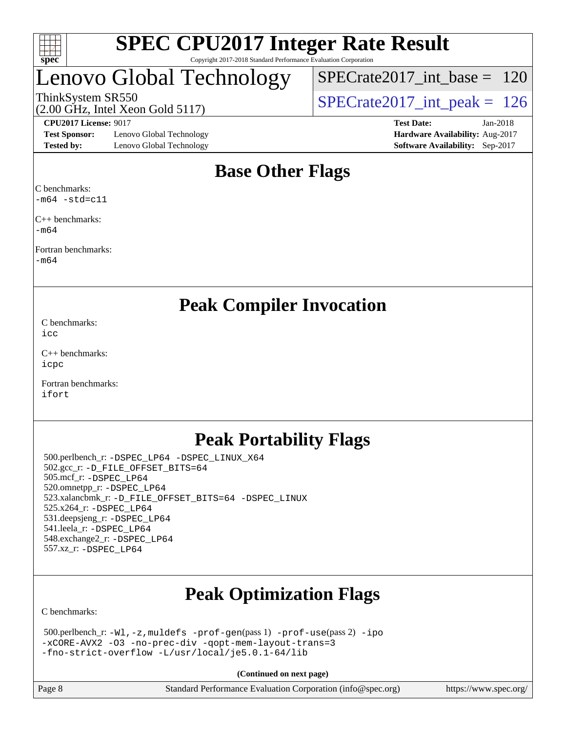

## Lenovo Global Technology

ThinkSystem SR550<br>(2.00 GHz, Intel Xeon Gold 5117) [SPECrate2017\\_int\\_peak =](http://www.spec.org/auto/cpu2017/Docs/result-fields.html#SPECrate2017intpeak) 126 [SPECrate2017\\_int\\_base =](http://www.spec.org/auto/cpu2017/Docs/result-fields.html#SPECrate2017intbase) 120

(2.00 GHz, Intel Xeon Gold 5117)

**[Test Sponsor:](http://www.spec.org/auto/cpu2017/Docs/result-fields.html#TestSponsor)** Lenovo Global Technology **[Hardware Availability:](http://www.spec.org/auto/cpu2017/Docs/result-fields.html#HardwareAvailability)** Aug-2017 **[Tested by:](http://www.spec.org/auto/cpu2017/Docs/result-fields.html#Testedby)** Lenovo Global Technology **[Software Availability:](http://www.spec.org/auto/cpu2017/Docs/result-fields.html#SoftwareAvailability)** Sep-2017

**[CPU2017 License:](http://www.spec.org/auto/cpu2017/Docs/result-fields.html#CPU2017License)** 9017 **[Test Date:](http://www.spec.org/auto/cpu2017/Docs/result-fields.html#TestDate)** Jan-2018

## **[Base Other Flags](http://www.spec.org/auto/cpu2017/Docs/result-fields.html#BaseOtherFlags)**

[C benchmarks:](http://www.spec.org/auto/cpu2017/Docs/result-fields.html#Cbenchmarks) [-m64](http://www.spec.org/cpu2017/results/res2018q1/cpu2017-20180122-03077.flags.html#user_CCbase_intel_intel64_18.0_af43caccfc8ded86e7699f2159af6efc7655f51387b94da716254467f3c01020a5059329e2569e4053f409e7c9202a7efc638f7a6d1ffb3f52dea4a3e31d82ab) [-std=c11](http://www.spec.org/cpu2017/results/res2018q1/cpu2017-20180122-03077.flags.html#user_CCbase_intel_compiler_c11_mode_0e1c27790398a4642dfca32ffe6c27b5796f9c2d2676156f2e42c9c44eaad0c049b1cdb667a270c34d979996257aeb8fc440bfb01818dbc9357bd9d174cb8524)

[C++ benchmarks:](http://www.spec.org/auto/cpu2017/Docs/result-fields.html#CXXbenchmarks) [-m64](http://www.spec.org/cpu2017/results/res2018q1/cpu2017-20180122-03077.flags.html#user_CXXbase_intel_intel64_18.0_af43caccfc8ded86e7699f2159af6efc7655f51387b94da716254467f3c01020a5059329e2569e4053f409e7c9202a7efc638f7a6d1ffb3f52dea4a3e31d82ab)

[Fortran benchmarks](http://www.spec.org/auto/cpu2017/Docs/result-fields.html#Fortranbenchmarks):

[-m64](http://www.spec.org/cpu2017/results/res2018q1/cpu2017-20180122-03077.flags.html#user_FCbase_intel_intel64_18.0_af43caccfc8ded86e7699f2159af6efc7655f51387b94da716254467f3c01020a5059329e2569e4053f409e7c9202a7efc638f7a6d1ffb3f52dea4a3e31d82ab)

### **[Peak Compiler Invocation](http://www.spec.org/auto/cpu2017/Docs/result-fields.html#PeakCompilerInvocation)**

[C benchmarks](http://www.spec.org/auto/cpu2017/Docs/result-fields.html#Cbenchmarks): [icc](http://www.spec.org/cpu2017/results/res2018q1/cpu2017-20180122-03077.flags.html#user_CCpeak_intel_icc_18.0_66fc1ee009f7361af1fbd72ca7dcefbb700085f36577c54f309893dd4ec40d12360134090235512931783d35fd58c0460139e722d5067c5574d8eaf2b3e37e92)

[C++ benchmarks:](http://www.spec.org/auto/cpu2017/Docs/result-fields.html#CXXbenchmarks) [icpc](http://www.spec.org/cpu2017/results/res2018q1/cpu2017-20180122-03077.flags.html#user_CXXpeak_intel_icpc_18.0_c510b6838c7f56d33e37e94d029a35b4a7bccf4766a728ee175e80a419847e808290a9b78be685c44ab727ea267ec2f070ec5dc83b407c0218cded6866a35d07)

[Fortran benchmarks](http://www.spec.org/auto/cpu2017/Docs/result-fields.html#Fortranbenchmarks): [ifort](http://www.spec.org/cpu2017/results/res2018q1/cpu2017-20180122-03077.flags.html#user_FCpeak_intel_ifort_18.0_8111460550e3ca792625aed983ce982f94888b8b503583aa7ba2b8303487b4d8a21a13e7191a45c5fd58ff318f48f9492884d4413fa793fd88dd292cad7027ca)

## **[Peak Portability Flags](http://www.spec.org/auto/cpu2017/Docs/result-fields.html#PeakPortabilityFlags)**

 500.perlbench\_r: [-DSPEC\\_LP64](http://www.spec.org/cpu2017/results/res2018q1/cpu2017-20180122-03077.flags.html#b500.perlbench_r_peakPORTABILITY_DSPEC_LP64) [-DSPEC\\_LINUX\\_X64](http://www.spec.org/cpu2017/results/res2018q1/cpu2017-20180122-03077.flags.html#b500.perlbench_r_peakCPORTABILITY_DSPEC_LINUX_X64) 502.gcc\_r: [-D\\_FILE\\_OFFSET\\_BITS=64](http://www.spec.org/cpu2017/results/res2018q1/cpu2017-20180122-03077.flags.html#user_peakPORTABILITY502_gcc_r_file_offset_bits_64_5ae949a99b284ddf4e95728d47cb0843d81b2eb0e18bdfe74bbf0f61d0b064f4bda2f10ea5eb90e1dcab0e84dbc592acfc5018bc955c18609f94ddb8d550002c) 505.mcf\_r: [-DSPEC\\_LP64](http://www.spec.org/cpu2017/results/res2018q1/cpu2017-20180122-03077.flags.html#suite_peakPORTABILITY505_mcf_r_DSPEC_LP64) 520.omnetpp\_r: [-DSPEC\\_LP64](http://www.spec.org/cpu2017/results/res2018q1/cpu2017-20180122-03077.flags.html#suite_peakPORTABILITY520_omnetpp_r_DSPEC_LP64) 523.xalancbmk\_r: [-D\\_FILE\\_OFFSET\\_BITS=64](http://www.spec.org/cpu2017/results/res2018q1/cpu2017-20180122-03077.flags.html#user_peakPORTABILITY523_xalancbmk_r_file_offset_bits_64_5ae949a99b284ddf4e95728d47cb0843d81b2eb0e18bdfe74bbf0f61d0b064f4bda2f10ea5eb90e1dcab0e84dbc592acfc5018bc955c18609f94ddb8d550002c) [-DSPEC\\_LINUX](http://www.spec.org/cpu2017/results/res2018q1/cpu2017-20180122-03077.flags.html#b523.xalancbmk_r_peakCXXPORTABILITY_DSPEC_LINUX) 525.x264\_r: [-DSPEC\\_LP64](http://www.spec.org/cpu2017/results/res2018q1/cpu2017-20180122-03077.flags.html#suite_peakPORTABILITY525_x264_r_DSPEC_LP64) 531.deepsjeng\_r: [-DSPEC\\_LP64](http://www.spec.org/cpu2017/results/res2018q1/cpu2017-20180122-03077.flags.html#suite_peakPORTABILITY531_deepsjeng_r_DSPEC_LP64) 541.leela\_r: [-DSPEC\\_LP64](http://www.spec.org/cpu2017/results/res2018q1/cpu2017-20180122-03077.flags.html#suite_peakPORTABILITY541_leela_r_DSPEC_LP64) 548.exchange2\_r: [-DSPEC\\_LP64](http://www.spec.org/cpu2017/results/res2018q1/cpu2017-20180122-03077.flags.html#suite_peakPORTABILITY548_exchange2_r_DSPEC_LP64) 557.xz\_r: [-DSPEC\\_LP64](http://www.spec.org/cpu2017/results/res2018q1/cpu2017-20180122-03077.flags.html#suite_peakPORTABILITY557_xz_r_DSPEC_LP64)

## **[Peak Optimization Flags](http://www.spec.org/auto/cpu2017/Docs/result-fields.html#PeakOptimizationFlags)**

[C benchmarks](http://www.spec.org/auto/cpu2017/Docs/result-fields.html#Cbenchmarks):

```
 500.perlbench_r: -Wl,-z,muldefs -prof-gen(pass 1) -prof-use(pass 2) -ipo
-xCORE-AVX2 -O3 -no-prec-div -qopt-mem-layout-trans=3
-fno-strict-overflow -L/usr/local/je5.0.1-64/lib
```
**(Continued on next page)**

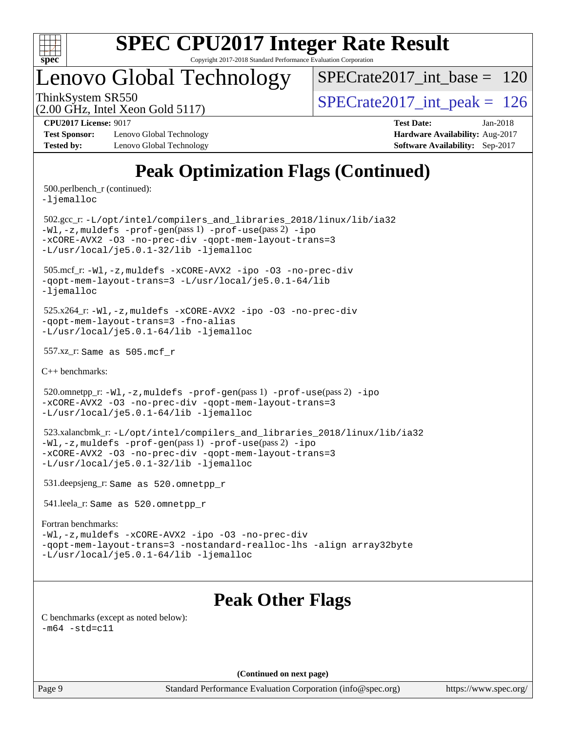

# **[SPEC CPU2017 Integer Rate Result](http://www.spec.org/auto/cpu2017/Docs/result-fields.html#SPECCPU2017IntegerRateResult)**

Copyright 2017-2018 Standard Performance Evaluation Corporation

## Lenovo Global Technology

 $SPECrate2017\_int\_base = 120$ 

(2.00 GHz, Intel Xeon Gold 5117)

ThinkSystem SR550<br>  $\angle Q$  00 GHz, Intel Year Gold 5117

**[Test Sponsor:](http://www.spec.org/auto/cpu2017/Docs/result-fields.html#TestSponsor)** Lenovo Global Technology **[Hardware Availability:](http://www.spec.org/auto/cpu2017/Docs/result-fields.html#HardwareAvailability)** Aug-2017 **[Tested by:](http://www.spec.org/auto/cpu2017/Docs/result-fields.html#Testedby)** Lenovo Global Technology **[Software Availability:](http://www.spec.org/auto/cpu2017/Docs/result-fields.html#SoftwareAvailability)** Sep-2017

**[CPU2017 License:](http://www.spec.org/auto/cpu2017/Docs/result-fields.html#CPU2017License)** 9017 **[Test Date:](http://www.spec.org/auto/cpu2017/Docs/result-fields.html#TestDate)** Jan-2018

## **[Peak Optimization Flags \(Continued\)](http://www.spec.org/auto/cpu2017/Docs/result-fields.html#PeakOptimizationFlags)**

500.perlbench\_r (continued):

[-ljemalloc](http://www.spec.org/cpu2017/results/res2018q1/cpu2017-20180122-03077.flags.html#user_peakEXTRA_LIBS500_perlbench_r_jemalloc_link_lib_d1249b907c500fa1c0672f44f562e3d0f79738ae9e3c4a9c376d49f265a04b9c99b167ecedbf6711b3085be911c67ff61f150a17b3472be731631ba4d0471706)

 502.gcc\_r: [-L/opt/intel/compilers\\_and\\_libraries\\_2018/linux/lib/ia32](http://www.spec.org/cpu2017/results/res2018q1/cpu2017-20180122-03077.flags.html#user_peakCCLD502_gcc_r_Enable-32bit-runtime_af243bdb1d79e4c7a4f720bf8275e627de2ecd461de63307bc14cef0633fde3cd7bb2facb32dcc8be9566045fb55d40ce2b72b725f73827aa7833441b71b9343) [-Wl,-z,muldefs](http://www.spec.org/cpu2017/results/res2018q1/cpu2017-20180122-03077.flags.html#user_peakEXTRA_LDFLAGS502_gcc_r_link_force_multiple1_b4cbdb97b34bdee9ceefcfe54f4c8ea74255f0b02a4b23e853cdb0e18eb4525ac79b5a88067c842dd0ee6996c24547a27a4b99331201badda8798ef8a743f577) [-prof-gen](http://www.spec.org/cpu2017/results/res2018q1/cpu2017-20180122-03077.flags.html#user_peakPASS1_CFLAGSPASS1_LDFLAGS502_gcc_r_prof_gen_5aa4926d6013ddb2a31985c654b3eb18169fc0c6952a63635c234f711e6e63dd76e94ad52365559451ec499a2cdb89e4dc58ba4c67ef54ca681ffbe1461d6b36)(pass 1) [-prof-use](http://www.spec.org/cpu2017/results/res2018q1/cpu2017-20180122-03077.flags.html#user_peakPASS2_CFLAGSPASS2_LDFLAGS502_gcc_r_prof_use_1a21ceae95f36a2b53c25747139a6c16ca95bd9def2a207b4f0849963b97e94f5260e30a0c64f4bb623698870e679ca08317ef8150905d41bd88c6f78df73f19)(pass 2) [-ipo](http://www.spec.org/cpu2017/results/res2018q1/cpu2017-20180122-03077.flags.html#user_peakPASS1_COPTIMIZEPASS2_COPTIMIZE502_gcc_r_f-ipo) [-xCORE-AVX2](http://www.spec.org/cpu2017/results/res2018q1/cpu2017-20180122-03077.flags.html#user_peakPASS2_COPTIMIZE502_gcc_r_f-xCORE-AVX2) [-O3](http://www.spec.org/cpu2017/results/res2018q1/cpu2017-20180122-03077.flags.html#user_peakPASS1_COPTIMIZEPASS2_COPTIMIZE502_gcc_r_f-O3) [-no-prec-div](http://www.spec.org/cpu2017/results/res2018q1/cpu2017-20180122-03077.flags.html#user_peakPASS1_COPTIMIZEPASS2_COPTIMIZE502_gcc_r_f-no-prec-div) [-qopt-mem-layout-trans=3](http://www.spec.org/cpu2017/results/res2018q1/cpu2017-20180122-03077.flags.html#user_peakPASS1_COPTIMIZEPASS2_COPTIMIZE502_gcc_r_f-qopt-mem-layout-trans_de80db37974c74b1f0e20d883f0b675c88c3b01e9d123adea9b28688d64333345fb62bc4a798493513fdb68f60282f9a726aa07f478b2f7113531aecce732043) [-L/usr/local/je5.0.1-32/lib](http://www.spec.org/cpu2017/results/res2018q1/cpu2017-20180122-03077.flags.html#user_peakEXTRA_LIBS502_gcc_r_jemalloc_link_path32_e29f22e8e6c17053bbc6a0971f5a9c01a601a06bb1a59df2084b77a2fe0a2995b64fd4256feaeea39eeba3aae142e96e2b2b0a28974019c0c0c88139a84f900a) [-ljemalloc](http://www.spec.org/cpu2017/results/res2018q1/cpu2017-20180122-03077.flags.html#user_peakEXTRA_LIBS502_gcc_r_jemalloc_link_lib_d1249b907c500fa1c0672f44f562e3d0f79738ae9e3c4a9c376d49f265a04b9c99b167ecedbf6711b3085be911c67ff61f150a17b3472be731631ba4d0471706)

 505.mcf\_r: [-Wl,-z,muldefs](http://www.spec.org/cpu2017/results/res2018q1/cpu2017-20180122-03077.flags.html#user_peakEXTRA_LDFLAGS505_mcf_r_link_force_multiple1_b4cbdb97b34bdee9ceefcfe54f4c8ea74255f0b02a4b23e853cdb0e18eb4525ac79b5a88067c842dd0ee6996c24547a27a4b99331201badda8798ef8a743f577) [-xCORE-AVX2](http://www.spec.org/cpu2017/results/res2018q1/cpu2017-20180122-03077.flags.html#user_peakCOPTIMIZE505_mcf_r_f-xCORE-AVX2) [-ipo](http://www.spec.org/cpu2017/results/res2018q1/cpu2017-20180122-03077.flags.html#user_peakCOPTIMIZE505_mcf_r_f-ipo) [-O3](http://www.spec.org/cpu2017/results/res2018q1/cpu2017-20180122-03077.flags.html#user_peakCOPTIMIZE505_mcf_r_f-O3) [-no-prec-div](http://www.spec.org/cpu2017/results/res2018q1/cpu2017-20180122-03077.flags.html#user_peakCOPTIMIZE505_mcf_r_f-no-prec-div) [-qopt-mem-layout-trans=3](http://www.spec.org/cpu2017/results/res2018q1/cpu2017-20180122-03077.flags.html#user_peakCOPTIMIZE505_mcf_r_f-qopt-mem-layout-trans_de80db37974c74b1f0e20d883f0b675c88c3b01e9d123adea9b28688d64333345fb62bc4a798493513fdb68f60282f9a726aa07f478b2f7113531aecce732043) [-L/usr/local/je5.0.1-64/lib](http://www.spec.org/cpu2017/results/res2018q1/cpu2017-20180122-03077.flags.html#user_peakEXTRA_LIBS505_mcf_r_jemalloc_link_path64_4b10a636b7bce113509b17f3bd0d6226c5fb2346b9178c2d0232c14f04ab830f976640479e5c33dc2bcbbdad86ecfb6634cbbd4418746f06f368b512fced5394) [-ljemalloc](http://www.spec.org/cpu2017/results/res2018q1/cpu2017-20180122-03077.flags.html#user_peakEXTRA_LIBS505_mcf_r_jemalloc_link_lib_d1249b907c500fa1c0672f44f562e3d0f79738ae9e3c4a9c376d49f265a04b9c99b167ecedbf6711b3085be911c67ff61f150a17b3472be731631ba4d0471706)

 525.x264\_r: [-Wl,-z,muldefs](http://www.spec.org/cpu2017/results/res2018q1/cpu2017-20180122-03077.flags.html#user_peakEXTRA_LDFLAGS525_x264_r_link_force_multiple1_b4cbdb97b34bdee9ceefcfe54f4c8ea74255f0b02a4b23e853cdb0e18eb4525ac79b5a88067c842dd0ee6996c24547a27a4b99331201badda8798ef8a743f577) [-xCORE-AVX2](http://www.spec.org/cpu2017/results/res2018q1/cpu2017-20180122-03077.flags.html#user_peakCOPTIMIZE525_x264_r_f-xCORE-AVX2) [-ipo](http://www.spec.org/cpu2017/results/res2018q1/cpu2017-20180122-03077.flags.html#user_peakCOPTIMIZE525_x264_r_f-ipo) [-O3](http://www.spec.org/cpu2017/results/res2018q1/cpu2017-20180122-03077.flags.html#user_peakCOPTIMIZE525_x264_r_f-O3) [-no-prec-div](http://www.spec.org/cpu2017/results/res2018q1/cpu2017-20180122-03077.flags.html#user_peakCOPTIMIZE525_x264_r_f-no-prec-div) [-qopt-mem-layout-trans=3](http://www.spec.org/cpu2017/results/res2018q1/cpu2017-20180122-03077.flags.html#user_peakCOPTIMIZE525_x264_r_f-qopt-mem-layout-trans_de80db37974c74b1f0e20d883f0b675c88c3b01e9d123adea9b28688d64333345fb62bc4a798493513fdb68f60282f9a726aa07f478b2f7113531aecce732043) [-fno-alias](http://www.spec.org/cpu2017/results/res2018q1/cpu2017-20180122-03077.flags.html#user_peakEXTRA_OPTIMIZE525_x264_r_f-no-alias_77dbac10d91cbfe898fbf4a29d1b29b694089caa623bdd1baccc9957d4edbe8d106c0b357e2748a65b44fc9e83d78098bb898077f3fe92f9faf24f7bd4a07ed7) [-L/usr/local/je5.0.1-64/lib](http://www.spec.org/cpu2017/results/res2018q1/cpu2017-20180122-03077.flags.html#user_peakEXTRA_LIBS525_x264_r_jemalloc_link_path64_4b10a636b7bce113509b17f3bd0d6226c5fb2346b9178c2d0232c14f04ab830f976640479e5c33dc2bcbbdad86ecfb6634cbbd4418746f06f368b512fced5394) [-ljemalloc](http://www.spec.org/cpu2017/results/res2018q1/cpu2017-20180122-03077.flags.html#user_peakEXTRA_LIBS525_x264_r_jemalloc_link_lib_d1249b907c500fa1c0672f44f562e3d0f79738ae9e3c4a9c376d49f265a04b9c99b167ecedbf6711b3085be911c67ff61f150a17b3472be731631ba4d0471706)

557.xz\_r: Same as 505.mcf\_r

[C++ benchmarks:](http://www.spec.org/auto/cpu2017/Docs/result-fields.html#CXXbenchmarks)

520.omnetpp\_r: $-Wl$ ,-z,muldefs -prof-qen(pass 1) [-prof-use](http://www.spec.org/cpu2017/results/res2018q1/cpu2017-20180122-03077.flags.html#user_peakPASS2_CXXFLAGSPASS2_LDFLAGS520_omnetpp_r_prof_use_1a21ceae95f36a2b53c25747139a6c16ca95bd9def2a207b4f0849963b97e94f5260e30a0c64f4bb623698870e679ca08317ef8150905d41bd88c6f78df73f19)(pass 2) [-ipo](http://www.spec.org/cpu2017/results/res2018q1/cpu2017-20180122-03077.flags.html#user_peakPASS1_CXXOPTIMIZEPASS2_CXXOPTIMIZE520_omnetpp_r_f-ipo) [-xCORE-AVX2](http://www.spec.org/cpu2017/results/res2018q1/cpu2017-20180122-03077.flags.html#user_peakPASS2_CXXOPTIMIZE520_omnetpp_r_f-xCORE-AVX2) [-O3](http://www.spec.org/cpu2017/results/res2018q1/cpu2017-20180122-03077.flags.html#user_peakPASS1_CXXOPTIMIZEPASS2_CXXOPTIMIZE520_omnetpp_r_f-O3) [-no-prec-div](http://www.spec.org/cpu2017/results/res2018q1/cpu2017-20180122-03077.flags.html#user_peakPASS1_CXXOPTIMIZEPASS2_CXXOPTIMIZE520_omnetpp_r_f-no-prec-div) [-qopt-mem-layout-trans=3](http://www.spec.org/cpu2017/results/res2018q1/cpu2017-20180122-03077.flags.html#user_peakPASS1_CXXOPTIMIZEPASS2_CXXOPTIMIZE520_omnetpp_r_f-qopt-mem-layout-trans_de80db37974c74b1f0e20d883f0b675c88c3b01e9d123adea9b28688d64333345fb62bc4a798493513fdb68f60282f9a726aa07f478b2f7113531aecce732043) [-L/usr/local/je5.0.1-64/lib](http://www.spec.org/cpu2017/results/res2018q1/cpu2017-20180122-03077.flags.html#user_peakEXTRA_LIBS520_omnetpp_r_jemalloc_link_path64_4b10a636b7bce113509b17f3bd0d6226c5fb2346b9178c2d0232c14f04ab830f976640479e5c33dc2bcbbdad86ecfb6634cbbd4418746f06f368b512fced5394) [-ljemalloc](http://www.spec.org/cpu2017/results/res2018q1/cpu2017-20180122-03077.flags.html#user_peakEXTRA_LIBS520_omnetpp_r_jemalloc_link_lib_d1249b907c500fa1c0672f44f562e3d0f79738ae9e3c4a9c376d49f265a04b9c99b167ecedbf6711b3085be911c67ff61f150a17b3472be731631ba4d0471706)

 523.xalancbmk\_r: [-L/opt/intel/compilers\\_and\\_libraries\\_2018/linux/lib/ia32](http://www.spec.org/cpu2017/results/res2018q1/cpu2017-20180122-03077.flags.html#user_peakCXXLD523_xalancbmk_r_Enable-32bit-runtime_af243bdb1d79e4c7a4f720bf8275e627de2ecd461de63307bc14cef0633fde3cd7bb2facb32dcc8be9566045fb55d40ce2b72b725f73827aa7833441b71b9343) [-Wl,-z,muldefs](http://www.spec.org/cpu2017/results/res2018q1/cpu2017-20180122-03077.flags.html#user_peakEXTRA_LDFLAGS523_xalancbmk_r_link_force_multiple1_b4cbdb97b34bdee9ceefcfe54f4c8ea74255f0b02a4b23e853cdb0e18eb4525ac79b5a88067c842dd0ee6996c24547a27a4b99331201badda8798ef8a743f577) [-prof-gen](http://www.spec.org/cpu2017/results/res2018q1/cpu2017-20180122-03077.flags.html#user_peakPASS1_CXXFLAGSPASS1_LDFLAGS523_xalancbmk_r_prof_gen_5aa4926d6013ddb2a31985c654b3eb18169fc0c6952a63635c234f711e6e63dd76e94ad52365559451ec499a2cdb89e4dc58ba4c67ef54ca681ffbe1461d6b36)(pass 1) [-prof-use](http://www.spec.org/cpu2017/results/res2018q1/cpu2017-20180122-03077.flags.html#user_peakPASS2_CXXFLAGSPASS2_LDFLAGS523_xalancbmk_r_prof_use_1a21ceae95f36a2b53c25747139a6c16ca95bd9def2a207b4f0849963b97e94f5260e30a0c64f4bb623698870e679ca08317ef8150905d41bd88c6f78df73f19)(pass 2) [-ipo](http://www.spec.org/cpu2017/results/res2018q1/cpu2017-20180122-03077.flags.html#user_peakPASS1_CXXOPTIMIZEPASS2_CXXOPTIMIZE523_xalancbmk_r_f-ipo) [-xCORE-AVX2](http://www.spec.org/cpu2017/results/res2018q1/cpu2017-20180122-03077.flags.html#user_peakPASS2_CXXOPTIMIZE523_xalancbmk_r_f-xCORE-AVX2) [-O3](http://www.spec.org/cpu2017/results/res2018q1/cpu2017-20180122-03077.flags.html#user_peakPASS1_CXXOPTIMIZEPASS2_CXXOPTIMIZE523_xalancbmk_r_f-O3) [-no-prec-div](http://www.spec.org/cpu2017/results/res2018q1/cpu2017-20180122-03077.flags.html#user_peakPASS1_CXXOPTIMIZEPASS2_CXXOPTIMIZE523_xalancbmk_r_f-no-prec-div) [-qopt-mem-layout-trans=3](http://www.spec.org/cpu2017/results/res2018q1/cpu2017-20180122-03077.flags.html#user_peakPASS1_CXXOPTIMIZEPASS2_CXXOPTIMIZE523_xalancbmk_r_f-qopt-mem-layout-trans_de80db37974c74b1f0e20d883f0b675c88c3b01e9d123adea9b28688d64333345fb62bc4a798493513fdb68f60282f9a726aa07f478b2f7113531aecce732043) [-L/usr/local/je5.0.1-32/lib](http://www.spec.org/cpu2017/results/res2018q1/cpu2017-20180122-03077.flags.html#user_peakEXTRA_LIBS523_xalancbmk_r_jemalloc_link_path32_e29f22e8e6c17053bbc6a0971f5a9c01a601a06bb1a59df2084b77a2fe0a2995b64fd4256feaeea39eeba3aae142e96e2b2b0a28974019c0c0c88139a84f900a) [-ljemalloc](http://www.spec.org/cpu2017/results/res2018q1/cpu2017-20180122-03077.flags.html#user_peakEXTRA_LIBS523_xalancbmk_r_jemalloc_link_lib_d1249b907c500fa1c0672f44f562e3d0f79738ae9e3c4a9c376d49f265a04b9c99b167ecedbf6711b3085be911c67ff61f150a17b3472be731631ba4d0471706)

531.deepsjeng\_r: Same as 520.omnetpp\_r

541.leela\_r: Same as 520.omnetpp\_r

#### [Fortran benchmarks](http://www.spec.org/auto/cpu2017/Docs/result-fields.html#Fortranbenchmarks):

[-Wl,-z,muldefs](http://www.spec.org/cpu2017/results/res2018q1/cpu2017-20180122-03077.flags.html#user_FCpeak_link_force_multiple1_b4cbdb97b34bdee9ceefcfe54f4c8ea74255f0b02a4b23e853cdb0e18eb4525ac79b5a88067c842dd0ee6996c24547a27a4b99331201badda8798ef8a743f577) [-xCORE-AVX2](http://www.spec.org/cpu2017/results/res2018q1/cpu2017-20180122-03077.flags.html#user_FCpeak_f-xCORE-AVX2) [-ipo](http://www.spec.org/cpu2017/results/res2018q1/cpu2017-20180122-03077.flags.html#user_FCpeak_f-ipo) [-O3](http://www.spec.org/cpu2017/results/res2018q1/cpu2017-20180122-03077.flags.html#user_FCpeak_f-O3) [-no-prec-div](http://www.spec.org/cpu2017/results/res2018q1/cpu2017-20180122-03077.flags.html#user_FCpeak_f-no-prec-div) [-qopt-mem-layout-trans=3](http://www.spec.org/cpu2017/results/res2018q1/cpu2017-20180122-03077.flags.html#user_FCpeak_f-qopt-mem-layout-trans_de80db37974c74b1f0e20d883f0b675c88c3b01e9d123adea9b28688d64333345fb62bc4a798493513fdb68f60282f9a726aa07f478b2f7113531aecce732043) [-nostandard-realloc-lhs](http://www.spec.org/cpu2017/results/res2018q1/cpu2017-20180122-03077.flags.html#user_FCpeak_f_2003_std_realloc_82b4557e90729c0f113870c07e44d33d6f5a304b4f63d4c15d2d0f1fab99f5daaed73bdb9275d9ae411527f28b936061aa8b9c8f2d63842963b95c9dd6426b8a) [-align array32byte](http://www.spec.org/cpu2017/results/res2018q1/cpu2017-20180122-03077.flags.html#user_FCpeak_align_array32byte_b982fe038af199962ba9a80c053b8342c548c85b40b8e86eb3cc33dee0d7986a4af373ac2d51c3f7cf710a18d62fdce2948f201cd044323541f22fc0fffc51b6) [-L/usr/local/je5.0.1-64/lib](http://www.spec.org/cpu2017/results/res2018q1/cpu2017-20180122-03077.flags.html#user_FCpeak_jemalloc_link_path64_4b10a636b7bce113509b17f3bd0d6226c5fb2346b9178c2d0232c14f04ab830f976640479e5c33dc2bcbbdad86ecfb6634cbbd4418746f06f368b512fced5394) [-ljemalloc](http://www.spec.org/cpu2017/results/res2018q1/cpu2017-20180122-03077.flags.html#user_FCpeak_jemalloc_link_lib_d1249b907c500fa1c0672f44f562e3d0f79738ae9e3c4a9c376d49f265a04b9c99b167ecedbf6711b3085be911c67ff61f150a17b3472be731631ba4d0471706)

### **[Peak Other Flags](http://www.spec.org/auto/cpu2017/Docs/result-fields.html#PeakOtherFlags)**

[C benchmarks \(except as noted below\)](http://www.spec.org/auto/cpu2017/Docs/result-fields.html#Cbenchmarksexceptasnotedbelow):  $-m64 - std= c11$  $-m64 - std= c11$ 

**(Continued on next page)**

Page 9 Standard Performance Evaluation Corporation [\(info@spec.org\)](mailto:info@spec.org) <https://www.spec.org/>